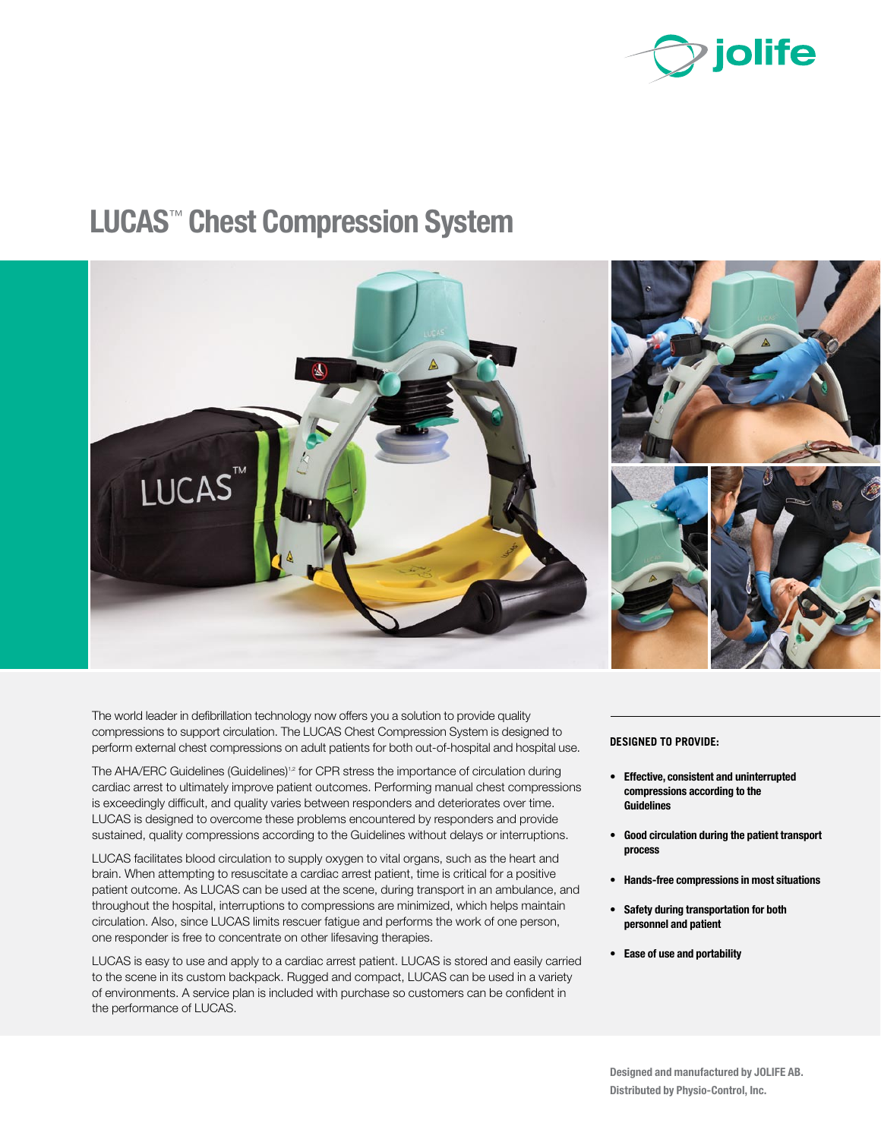

# LUCAS™ Chest Compression System



The world leader in defibrillation technology now offers you a solution to provide quality compressions to support circulation. The LUCAS Chest Compression System is designed to perform external chest compressions on adult patients for both out-of-hospital and hospital use.

The AHA/ERC Guidelines (Guidelines)<sup>1,2</sup> for CPR stress the importance of circulation during cardiac arrest to ultimately improve patient outcomes. Performing manual chest compressions is exceedingly difficult, and quality varies between responders and deteriorates over time. LUCAS is designed to overcome these problems encountered by responders and provide sustained, quality compressions according to the Guidelines without delays or interruptions.

LUCAS facilitates blood circulation to supply oxygen to vital organs, such as the heart and brain. When attempting to resuscitate a cardiac arrest patient, time is critical for a positive patient outcome. As LUCAS can be used at the scene, during transport in an ambulance, and throughout the hospital, interruptions to compressions are minimized, which helps maintain circulation. Also, since LUCAS limits rescuer fatigue and performs the work of one person, one responder is free to concentrate on other lifesaving therapies.

LUCAS is easy to use and apply to a cardiac arrest patient. LUCAS is stored and easily carried to the scene in its custom backpack. Rugged and compact, LUCAS can be used in a variety of environments. A service plan is included with purchase so customers can be confident in the performance of LUCAS.

# **DESIGNED TO PROVIDE:**

- Effective, consistent and uninterrupted compressions according to the **Guidelines**
- Good circulation during the patient transport process
- Hands-free compressions in most situations
- Safety during transportation for both personnel and patient
- Ease of use and portability